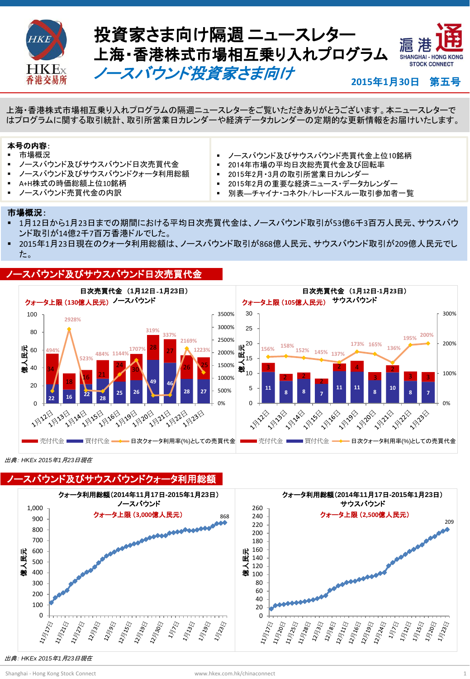

**Hot Topics** 上海・香港株式市場相互乗り入れプログラムの隔週ニュースレターをご覧いただきありがとうございます。本ニュースレターで はプログラムに関する取引統計、取引所営業日カレンダーや経済データカレンダーの定期的な更新情報をお届けいたします。

### 本号の内容:

- 市場概況
- ノースバウンド及びサウスバウンド日次売買代金
- ノースバウンド及びサウスバウンドクォータ利用総額
- A+H株式の時価総額上位10銘柄
- ノースバウンド売買代金の内訳
- ノースバウンド及びサウスバウンド売買代金上位10銘柄
- 2014年市場の平均日次総売買代金及び回転率
- 2015年2月・3月の取引所営業日カレンダー
- 2015年2月の重要な経済ニュース・データカレンダー
- 別表―チャイナ・コネクト/トレードスルー取引参加者一覧

#### 市場概況:

- 1月12日から1月23日までの期間における平均日次売買代金は、ノースバウンド取引が53億6千3百万人民元、サウスバウ ンド取引が14億2千7百万香港ドルでした。
- 2015年1月23日現在のクォータ利用総額は、ノースバウンド取引が868億人民元、サウスバウンド取引が209億人民元でし た。

#### ノースバウンド及びサウスバウンド日次売買代金



出典: *HKEx 2015*年*1*月*23*日現在



出典: *HKEx 2015*年*1*月*23*日現在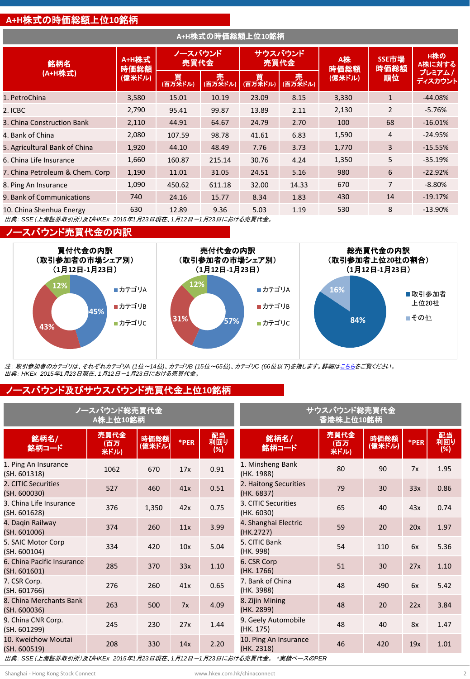#### **A+H**株式の時価総額上位**10**銘柄

| A+H株式の時価総額上位10銘柄                |                         |                 |              |              |              |            |                |                   |
|---------------------------------|-------------------------|-----------------|--------------|--------------|--------------|------------|----------------|-------------------|
| 銘柄名                             | A+H株式<br>時価総額<br>(億米ドル) | ノースバウンド<br>売買代金 |              | 売買代金         | サウスバウンド      | A株<br>時価総額 | SSE市場<br>時価総額  | H株の<br>A株に対する     |
| (A+H株式)                         |                         | 買<br>(百万米ドル)    | 売<br>(百万米ドル) | 買<br>(百万米ドル) | 売<br>(百万米ドル) | (億米ドル)     | 順位             | プレミアム/<br>ディスカウント |
| 1. PetroChina                   | 3,580                   | 15.01           | 10.19        | 23.09        | 8.15         | 3,330      | $\mathbf{1}$   | $-44.08%$         |
| 2. ICBC                         | 2,790                   | 95.41           | 99.87        | 13.89        | 2.11         | 2,130      | $\overline{2}$ | $-5.76%$          |
| 3. China Construction Bank      | 2,110                   | 44.91           | 64.67        | 24.79        | 2.70         | 100        | 68             | $-16.01%$         |
| 4. Bank of China                | 2,080                   | 107.59          | 98.78        | 41.61        | 6.83         | 1,590      | 4              | $-24.95%$         |
| 5. Agricultural Bank of China   | 1,920                   | 44.10           | 48.49        | 7.76         | 3.73         | 1,770      | 3              | $-15.55%$         |
| 6. China Life Insurance         | 1,660                   | 160.87          | 215.14       | 30.76        | 4.24         | 1,350      | 5              | $-35.19%$         |
| 7. China Petroleum & Chem. Corp | 1,190                   | 11.01           | 31.05        | 24.51        | 5.16         | 980        | 6              | $-22.92%$         |
| 8. Ping An Insurance            | 1,090                   | 450.62          | 611.18       | 32.00        | 14.33        | 670        | $\overline{7}$ | $-8.80%$          |
| 9. Bank of Communications       | 740                     | 24.16           | 15.77        | 8.34         | 1.83         | 430        | 14             | $-19.17%$         |
| 10. China Shenhua Energy        | 630                     | 12.89           | 9.36         | 5.03         | 1.19         | 530        | 8              | $-13.90%$         |

出典: *SSE*(上海証券取引所)及び*HKEx 2015*年*1*月*23*日現在、*1*月*12*日-*1*月*23*日における売買代金。

#### ノースバウンド売買代金の内訳



注: 取引参加者のカテゴリは、それぞれカテゴリ*A (1*位~*14*位*)*、カテゴリ*B (15*位~*65*位*)*、カテゴリ*C (66*位以下*)*を指します。詳細[はこちらを](http://www.hkex.com.hk/eng/stat/epstat/exreport.htm)ご覧ください。 出典: *HKEx 2015*年*1*月*23*日現在、*1*月*12*日-*1*月*23*日における売買代金。

#### ノースバウンド及びサウスバウンド売買代金上位**10**銘柄

| ノースバウンド総売買代金                                                        | サウスバウンド総売買代金<br>香港株上位10銘柄 |                |      |                  |                                     |                      |                |      |                  |
|---------------------------------------------------------------------|---------------------------|----------------|------|------------------|-------------------------------------|----------------------|----------------|------|------------------|
| 銘柄名/<br>銘柄コード                                                       | 売買代金<br>(百万<br>米ドル)       | 時価総額<br>(億米ドル) | *PER | 配当<br>利回り<br>(%) | 銘柄名/<br>銘柄コード                       | 売買代金<br>(百万)<br>米ドル) | 時価総額<br>(億米ドル) | *PER | 配当<br>利回り<br>(%) |
| 1. Ping An Insurance<br>(SH. 601318)                                | 1062                      | 670            | 17x  | 0.91             | 1. Minsheng Bank<br>(HK. 1988)      | 80                   | 90             | 7x   | 1.95             |
| 2. CITIC Securities<br>(SH. 600030)                                 | 527                       | 460            | 41x  | 0.51             | 2. Haitong Securities<br>(HK. 6837) | 79                   | 30             | 33x  | 0.86             |
| 3. China Life Insurance<br>(SH. 601628)                             | 376                       | 1,350          | 42x  | 0.75             | 3. CITIC Securities<br>(HK. 6030)   | 65                   | 40             | 43x  | 0.74             |
| 4. Dagin Railway<br>(SH. 601006)                                    | 374                       | 260            | 11x  | 3.99             | 4. Shanghai Electric<br>(HK.2727)   | 59                   | 20             | 20x  | 1.97             |
| 5. SAIC Motor Corp<br>(SH. 600104)                                  | 334                       | 420            | 10x  | 5.04             | 5. CITIC Bank<br>(HK. 998)          | 54                   | 110            | 6x   | 5.36             |
| 6. China Pacific Insurance<br>(SH. 601601)                          | 285                       | 370            | 33x  | 1.10             | 6. CSR Corp<br>(HK. 1766)           | 51                   | 30             | 27x  | 1.10             |
| 7. CSR Corp.<br>(SH. 601766)                                        | 276                       | 260            | 41x  | 0.65             | 7. Bank of China<br>(HK. 3988)      | 48                   | 490            | 6x   | 5.42             |
| 8. China Merchants Bank<br>(SH. 600036)                             | 263                       | 500            | 7x   | 4.09             | 8. Zijin Mining<br>(HK. 2899)       | 48                   | 20             | 22x  | 3.84             |
| 9. China CNR Corp.<br>(SH. 601299)                                  | 245                       | 230            | 27x  | 1.44             | 9. Geely Automobile<br>(HK. 175)    | 48                   | 40             | 8x   | 1.47             |
| 10. Kweichow Moutai<br>(SH. 600519)                                 | 208                       | 330            | 14x  | 2.20             | 10. Ping An Insurance<br>(HK. 2318) | 46                   | 420            | 19x  | 1.01             |
| 出典: SSE(上海証券取引所)及びHKEx 2015年1月23日現在、1月12日-1月23日における売買代金。 *実績ベースのPER |                           |                |      |                  |                                     |                      |                |      |                  |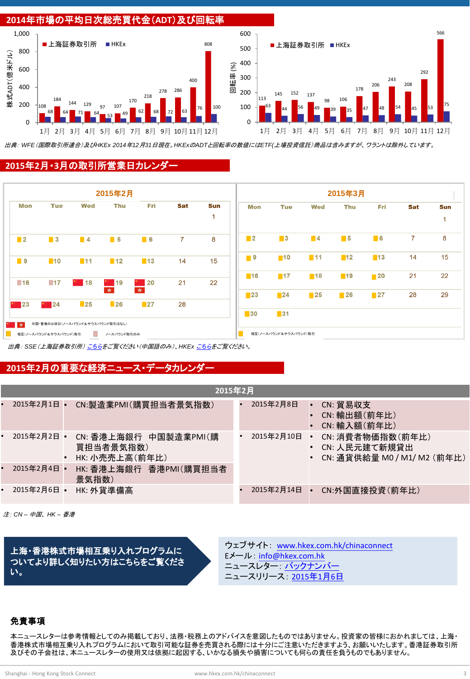

出典: *WFE*(国際取引所連合)及び*HKEx 2014*年*12*月*31*日現在。*HKEx*の*ADT*と回転率の数値には*ETF(*上場投資信託)商品は含みますが、ワラントは除外しています。

#### **2015**年**2**月・**3**月の取引所営業日カレンダー



出典: *SSE*(上海証券取引所) [こちら](http://www.sse.com.cn/marketservices/hkexsc/home/holiday/)をご覧ください(中国語のみ)、*HKEx* [こちらを](http://www.hkex.com.hk/eng/market/sec_tradinfra/chinaconnect/Calendar.htm)ご覧ください。

#### **2015**年**2**月の重要な経済ニュース・データカレンダー

|           | 2015年2月       |           |                                                      |  |            |                        |                                                                  |  |
|-----------|---------------|-----------|------------------------------------------------------|--|------------|------------------------|------------------------------------------------------------------|--|
|           | 2015年2月1日     | $\bullet$ | CN:製造業PMI(購買担当者景気指数)                                 |  | 2015年2月8日  | $\bullet$<br>$\bullet$ | CN: 貿易収支<br>CN: 輸出額(前年比)<br>CN: 輸入額(前年比)                         |  |
|           | • 2015年2月2日 • |           | CN: 香港上海銀行 中国製造業PMI(購<br>買担当者景気指数)<br>HK: 小売売上高(前年比) |  | 2015年2月10日 | $\bullet$              | CN: 消費者物価指数(前年比)<br>CN: 人民元建て新規貸出<br>CN: 通貨供給量 M0 / M1/ M2 (前年比) |  |
| $\bullet$ | 2015年2月4日 •   |           | HK: 香港上海銀行 香港PMI(購買担当者<br>景気指数)                      |  |            |                        |                                                                  |  |
|           | • 2015年2月6日 • |           | HK: 外貨準備高                                            |  | 2015年2月14日 |                        | CN:外国直接投資(前年比)                                                   |  |

注: *CN –* 中国、 *HK –* 香港

上海・香港株式市場相互乗り入れプログラムに ついてより詳しく知りたい方はこちらをご覧くださ い。

ウェブサイト: [www.hkex.com.hk/chinaconnect](http://www.hkex.com.hk/chinaconnect) Eメール: [info@hkex.com.hk](mailto:info@hkex.com.hk) ニュースレター: <u>[バックナンバー](http://www.hkex.com.hk/eng/market/sec_tradinfra/chinaconnect/Newsletter.htm)</u> ニュースリリース: [2015](http://www.hkex.com.hk/eng/newsconsul/hkexnews/2015/150106news.htm)[年](http://www.hkex.com.hk/eng/newsconsul/hkexnews/2015/150106news.htm)[1](http://www.hkex.com.hk/eng/newsconsul/hkexnews/2015/150106news.htm)[月](http://www.hkex.com.hk/eng/newsconsul/hkexnews/2015/150106news.htm)[6](http://www.hkex.com.hk/eng/newsconsul/hkexnews/2015/150106news.htm)[日](http://www.hkex.com.hk/eng/newsconsul/hkexnews/2015/150106news.htm)

#### 免責事項

本ニュースレターは参考情報としてのみ掲載しており、法務・税務上のアドバイスを意図したものではありません。投資家の皆様におかれましては、上海・ 香港株式市場相互乗り入れプログラムにおいて取引可能な証券を売買される際には十分にご注意いただきますよう、お願いいたします。香港証券取引所 及びその子会社は、本ニュースレターの使用又は依拠に起因する、いかなる損失や損害についても何らの責任を負うものでもありません。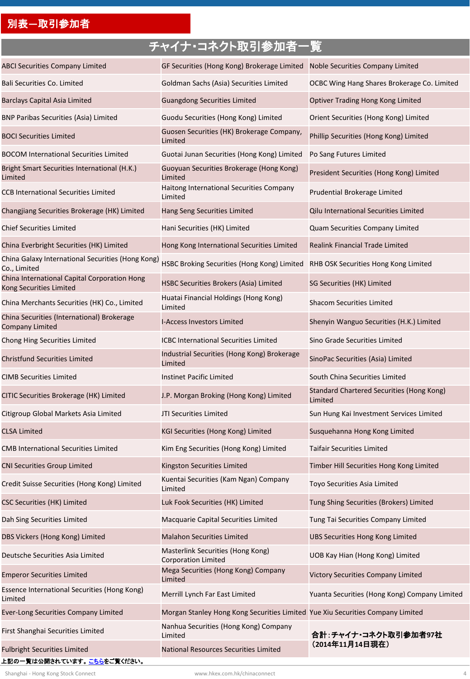## 別表**―**取引参加者

## チャイナ・コネクト取引参加者一覧

| <b>ABCI Securities Company Limited</b>                                           | GF Securities (Hong Kong) Brokerage Limited Noble Securities Company Limited   |                                                             |  |  |
|----------------------------------------------------------------------------------|--------------------------------------------------------------------------------|-------------------------------------------------------------|--|--|
| Bali Securities Co. Limited                                                      | Goldman Sachs (Asia) Securities Limited                                        | OCBC Wing Hang Shares Brokerage Co. Limited                 |  |  |
| <b>Barclays Capital Asia Limited</b>                                             | <b>Guangdong Securities Limited</b>                                            | Optiver Trading Hong Kong Limited                           |  |  |
| <b>BNP Paribas Securities (Asia) Limited</b>                                     | Guodu Securities (Hong Kong) Limited                                           | Orient Securities (Hong Kong) Limited                       |  |  |
| <b>BOCI Securities Limited</b>                                                   | Guosen Securities (HK) Brokerage Company,<br>Limited                           | Phillip Securities (Hong Kong) Limited                      |  |  |
| <b>BOCOM International Securities Limited</b>                                    | Guotai Junan Securities (Hong Kong) Limited                                    | Po Sang Futures Limited                                     |  |  |
| Bright Smart Securities International (H.K.)<br>Limited                          | Guoyuan Securities Brokerage (Hong Kong)<br>Limited                            | President Securities (Hong Kong) Limited                    |  |  |
| <b>CCB International Securities Limited</b>                                      | Haitong International Securities Company<br>Limited                            | Prudential Brokerage Limited                                |  |  |
| Changjiang Securities Brokerage (HK) Limited                                     | Hang Seng Securities Limited                                                   | Qilu International Securities Limited                       |  |  |
| <b>Chief Securities Limited</b>                                                  | Hani Securities (HK) Limited                                                   | Quam Securities Company Limited                             |  |  |
| China Everbright Securities (HK) Limited                                         | Hong Kong International Securities Limited                                     | <b>Realink Financial Trade Limited</b>                      |  |  |
| China Galaxy International Securities (Hong Kong)<br>Co., Limited                | HSBC Broking Securities (Hong Kong) Limited                                    | RHB OSK Securities Hong Kong Limited                        |  |  |
| China International Capital Corporation Hong<br>Kong Securities Limited          | HSBC Securities Brokers (Asia) Limited                                         | SG Securities (HK) Limited                                  |  |  |
| China Merchants Securities (HK) Co., Limited                                     | Huatai Financial Holdings (Hong Kong)<br>Limited                               | <b>Shacom Securities Limited</b>                            |  |  |
| China Securities (International) Brokerage<br><b>Company Limited</b>             | <b>I-Access Investors Limited</b>                                              | Shenyin Wanguo Securities (H.K.) Limited                    |  |  |
| Chong Hing Securities Limited                                                    | <b>ICBC International Securities Limited</b>                                   | Sino Grade Securities Limited                               |  |  |
| <b>Christfund Securities Limited</b>                                             | Industrial Securities (Hong Kong) Brokerage<br>Limited                         | SinoPac Securities (Asia) Limited                           |  |  |
| <b>CIMB Securities Limited</b>                                                   | <b>Instinet Pacific Limited</b>                                                | South China Securities Limited                              |  |  |
| CITIC Securities Brokerage (HK) Limited                                          | J.P. Morgan Broking (Hong Kong) Limited                                        | <b>Standard Chartered Securities (Hong Kong)</b><br>Limited |  |  |
| Citigroup Global Markets Asia Limited                                            | JTI Securities Limited                                                         | Sun Hung Kai Investment Services Limited                    |  |  |
| <b>CLSA Limited</b>                                                              | KGI Securities (Hong Kong) Limited                                             | Susquehanna Hong Kong Limited                               |  |  |
| <b>CMB International Securities Limited</b>                                      | Kim Eng Securities (Hong Kong) Limited                                         | <b>Taifair Securities Limited</b>                           |  |  |
| <b>CNI Securities Group Limited</b>                                              | Kingston Securities Limited                                                    | Timber Hill Securities Hong Kong Limited                    |  |  |
| Credit Suisse Securities (Hong Kong) Limited                                     | Kuentai Securities (Kam Ngan) Company<br>Limited                               | Toyo Securities Asia Limited                                |  |  |
| <b>CSC Securities (HK) Limited</b>                                               | Luk Fook Securities (HK) Limited                                               | Tung Shing Securities (Brokers) Limited                     |  |  |
| Dah Sing Securities Limited                                                      | Macquarie Capital Securities Limited                                           | Tung Tai Securities Company Limited                         |  |  |
| DBS Vickers (Hong Kong) Limited                                                  | <b>Malahon Securities Limited</b>                                              | <b>UBS Securities Hong Kong Limited</b>                     |  |  |
| Deutsche Securities Asia Limited                                                 | Masterlink Securities (Hong Kong)<br><b>Corporation Limited</b>                | UOB Kay Hian (Hong Kong) Limited                            |  |  |
| <b>Emperor Securities Limited</b>                                                | Mega Securities (Hong Kong) Company<br>Limited                                 | <b>Victory Securities Company Limited</b>                   |  |  |
| Essence International Securities (Hong Kong)<br>Limited                          | Merrill Lynch Far East Limited                                                 | Yuanta Securities (Hong Kong) Company Limited               |  |  |
| <b>Ever-Long Securities Company Limited</b>                                      | Morgan Stanley Hong Kong Securities Limited Yue Xiu Securities Company Limited |                                                             |  |  |
| First Shanghai Securities Limited                                                | Nanhua Securities (Hong Kong) Company<br>Limited                               | 合計: チャイナ・コネクト取引参加者97社                                       |  |  |
| <b>Fulbright Securities Limited</b><br>上記の一覧は公開されています。 <mark>こちら</mark> をご覧ください。 | National Resources Securities Limited                                          | (2014年11月14日現在)                                             |  |  |

Shanghai - Hong Kong Stock Connect **4 Account Account Account Account Account Account Account Account Account Account Account Account Account Account Account Account Account Account Account Account Account Account Accoun**